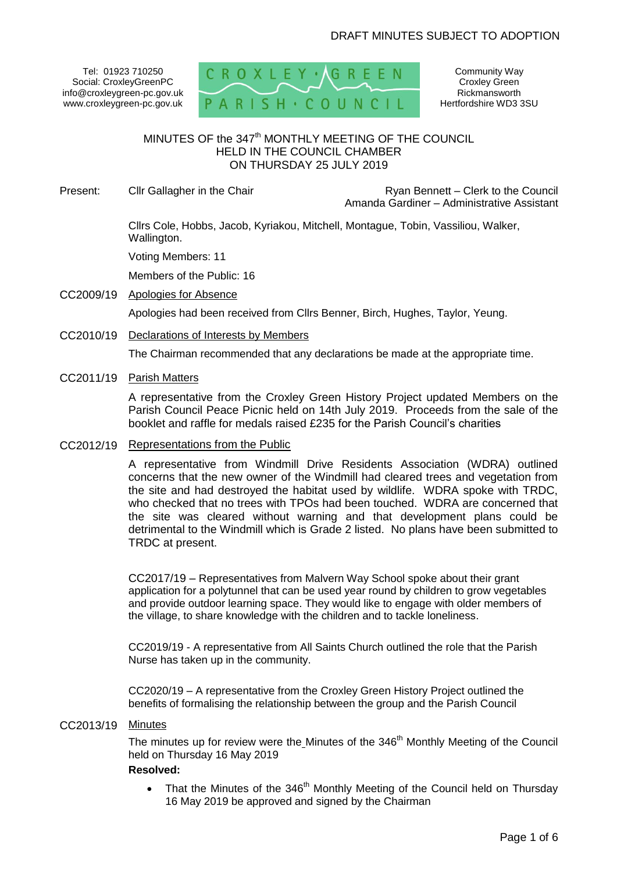Tel: 01923 710250 Social: CroxleyGreenPC info@croxleygreen-pc.gov.uk www.croxleygreen-pc.gov.uk



Community Way Croxley Green Rickmansworth Hertfordshire WD3 3SU

# $M$ INUTES OF the 347<sup>th</sup> MONTHLY MEETING OF THE COUNCIL HELD IN THE COUNCIL CHAMBER ON THURSDAY 25 JULY 2019

Present: Cllr Gallagher in the Chair **Ryan Bennett** – Clerk to the Council Amanda Gardiner – Administrative Assistant

> Cllrs Cole, Hobbs, Jacob, Kyriakou, Mitchell, Montague, Tobin, Vassiliou, Walker, Wallington.

Voting Members: 11

Members of the Public: 16

CC2009/19 Apologies for Absence

Apologies had been received from Cllrs Benner, Birch, Hughes, Taylor, Yeung.

CC2010/19 Declarations of Interests by Members

The Chairman recommended that any declarations be made at the appropriate time.

# CC2011/19 Parish Matters

A representative from the Croxley Green History Project updated Members on the Parish Council Peace Picnic held on 14th July 2019. Proceeds from the sale of the booklet and raffle for medals raised £235 for the Parish Council's charities

### CC2012/19 Representations from the Public

A representative from Windmill Drive Residents Association (WDRA) outlined concerns that the new owner of the Windmill had cleared trees and vegetation from the site and had destroyed the habitat used by wildlife. WDRA spoke with TRDC, who checked that no trees with TPOs had been touched. WDRA are concerned that the site was cleared without warning and that development plans could be detrimental to the Windmill which is Grade 2 listed. No plans have been submitted to TRDC at present.

CC2017/19 – Representatives from Malvern Way School spoke about their grant application for a polytunnel that can be used year round by children to grow vegetables and provide outdoor learning space. They would like to engage with older members of the village, to share knowledge with the children and to tackle loneliness.

CC2019/19 - A representative from All Saints Church outlined the role that the Parish Nurse has taken up in the community.

CC2020/19 – A representative from the Croxley Green History Project outlined the benefits of formalising the relationship between the group and the Parish Council

# CC2013/19 Minutes

The minutes up for review were the Minutes of the 346<sup>th</sup> Monthly Meeting of the Council held on Thursday 16 May 2019

### **Resolved:**

• That the Minutes of the  $346<sup>th</sup>$  Monthly Meeting of the Council held on Thursday 16 May 2019 be approved and signed by the Chairman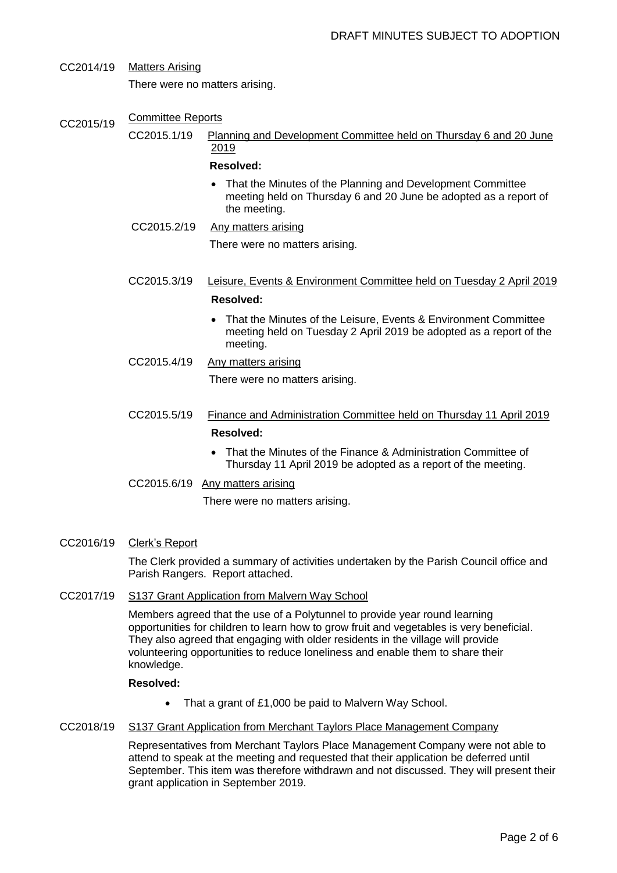- CC2014/19 Matters Arising There were no matters arising.
- CC2015/19 Committee Reports
	- CC2015.1/19 Planning and Development Committee held on Thursday 6 and 20 June 2019

### **Resolved:**

- That the Minutes of the Planning and Development Committee meeting held on Thursday 6 and 20 June be adopted as a report of the meeting.
- CC2015.2/19 Any matters arising

There were no matters arising.

- CC2015.3/19 Leisure, Events & Environment Committee held on Tuesday 2 April 2019 **Resolved:** 
	- That the Minutes of the Leisure, Events & Environment Committee meeting held on Tuesday 2 April 2019 be adopted as a report of the meeting.
- CC2015.4/19 Any matters arising

There were no matters arising.

- CC2015.5/19 Finance and Administration Committee held on Thursday 11 April 2019 **Resolved:**
	- That the Minutes of the Finance & Administration Committee of Thursday 11 April 2019 be adopted as a report of the meeting.
- CC2015.6/19 Any matters arising

There were no matters arising.

CC2016/19 Clerk's Report

The Clerk provided a summary of activities undertaken by the Parish Council office and Parish Rangers. Report attached.

# CC2017/19 S137 Grant Application from Malvern Way School

Members agreed that the use of a Polytunnel to provide year round learning opportunities for children to learn how to grow fruit and vegetables is very beneficial. They also agreed that engaging with older residents in the village will provide volunteering opportunities to reduce loneliness and enable them to share their knowledge.

### **Resolved:**

- That a grant of £1,000 be paid to Malvern Way School.
- CC2018/19 S137 Grant Application from Merchant Taylors Place Management Company

Representatives from Merchant Taylors Place Management Company were not able to attend to speak at the meeting and requested that their application be deferred until September. This item was therefore withdrawn and not discussed. They will present their grant application in September 2019.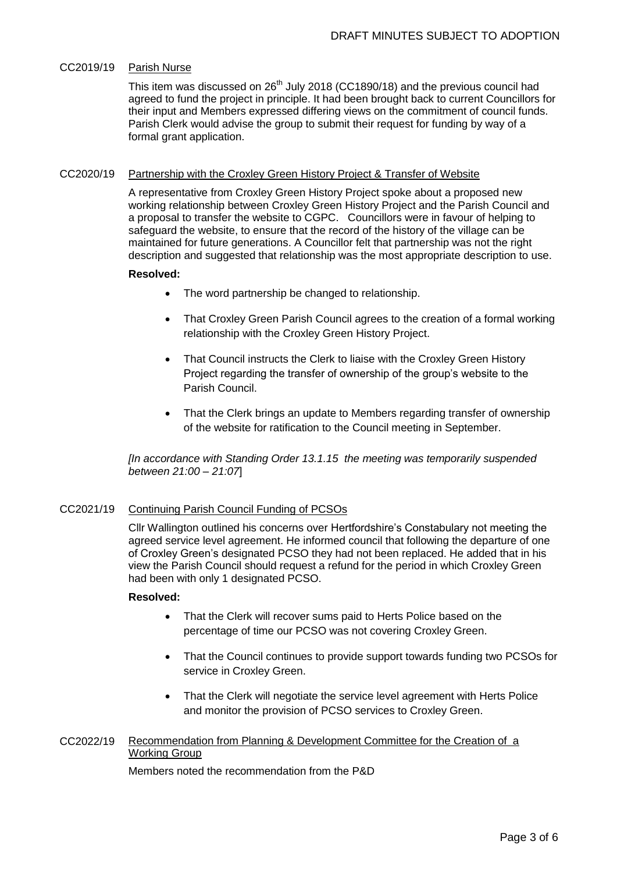### CC2019/19 Parish Nurse

This item was discussed on 26<sup>th</sup> July 2018 (CC1890/18) and the previous council had agreed to fund the project in principle. It had been brought back to current Councillors for their input and Members expressed differing views on the commitment of council funds. Parish Clerk would advise the group to submit their request for funding by way of a formal grant application.

### CC2020/19 Partnership with the Croxley Green History Project & Transfer of Website

A representative from Croxley Green History Project spoke about a proposed new working relationship between Croxley Green History Project and the Parish Council and a proposal to transfer the website to CGPC. Councillors were in favour of helping to safeguard the website, to ensure that the record of the history of the village can be maintained for future generations. A Councillor felt that partnership was not the right description and suggested that relationship was the most appropriate description to use.

# **Resolved:**

- The word partnership be changed to relationship.
- That Croxley Green Parish Council agrees to the creation of a formal working relationship with the Croxley Green History Project.
- That Council instructs the Clerk to liaise with the Croxley Green History Project regarding the transfer of ownership of the group's website to the Parish Council.
- That the Clerk brings an update to Members regarding transfer of ownership of the website for ratification to the Council meeting in September.

*[In accordance with Standing Order 13.1.15 the meeting was temporarily suspended between 21:00 – 21:07*]

### CC2021/19 Continuing Parish Council Funding of PCSOs

Cllr Wallington outlined his concerns over Hertfordshire's Constabulary not meeting the agreed service level agreement. He informed council that following the departure of one of Croxley Green's designated PCSO they had not been replaced. He added that in his view the Parish Council should request a refund for the period in which Croxley Green had been with only 1 designated PCSO.

### **Resolved:**

- That the Clerk will recover sums paid to Herts Police based on the percentage of time our PCSO was not covering Croxley Green.
- That the Council continues to provide support towards funding two PCSOs for service in Croxley Green.
- That the Clerk will negotiate the service level agreement with Herts Police and monitor the provision of PCSO services to Croxley Green.

# CC2022/19 Recommendation from Planning & Development Committee for the Creation of a Working Group

Members noted the recommendation from the P&D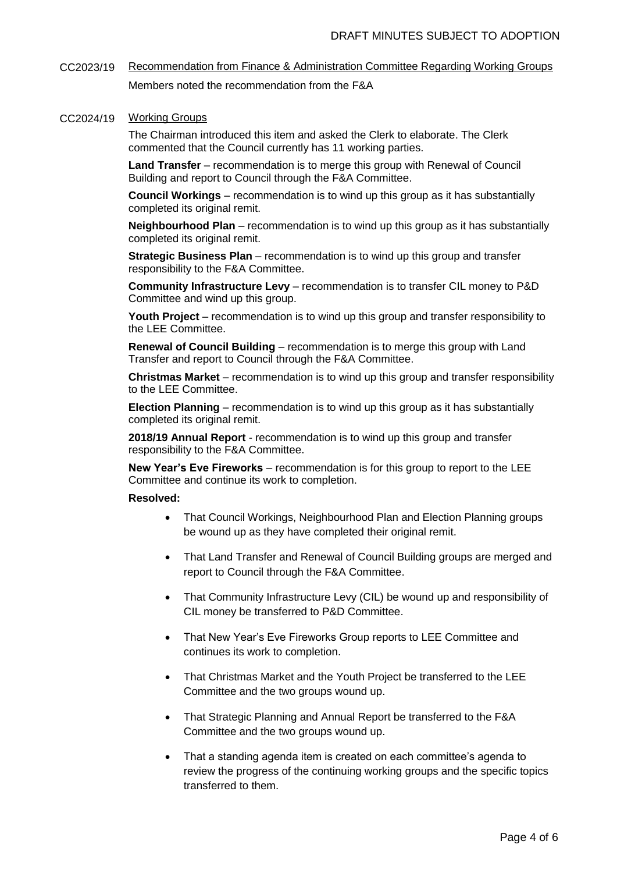CC2023/19 Recommendation from Finance & Administration Committee Regarding Working Groups Members noted the recommendation from the F&A

### CC2024/19 Working Groups

The Chairman introduced this item and asked the Clerk to elaborate. The Clerk commented that the Council currently has 11 working parties.

**Land Transfer** – recommendation is to merge this group with Renewal of Council Building and report to Council through the F&A Committee.

**Council Workings** – recommendation is to wind up this group as it has substantially completed its original remit.

**Neighbourhood Plan** – recommendation is to wind up this group as it has substantially completed its original remit.

**Strategic Business Plan** – recommendation is to wind up this group and transfer responsibility to the F&A Committee.

**Community Infrastructure Levy** – recommendation is to transfer CIL money to P&D Committee and wind up this group.

**Youth Project** – recommendation is to wind up this group and transfer responsibility to the LEE Committee.

**Renewal of Council Building** – recommendation is to merge this group with Land Transfer and report to Council through the F&A Committee.

**Christmas Market** – recommendation is to wind up this group and transfer responsibility to the LEE Committee.

**Election Planning** – recommendation is to wind up this group as it has substantially completed its original remit.

**2018/19 Annual Report** - recommendation is to wind up this group and transfer responsibility to the F&A Committee.

**New Year's Eve Fireworks** – recommendation is for this group to report to the LEE Committee and continue its work to completion.

### **Resolved:**

- That Council Workings, Neighbourhood Plan and Election Planning groups be wound up as they have completed their original remit.
- That Land Transfer and Renewal of Council Building groups are merged and report to Council through the F&A Committee.
- That Community Infrastructure Levy (CIL) be wound up and responsibility of CIL money be transferred to P&D Committee.
- That New Year's Eve Fireworks Group reports to LEE Committee and continues its work to completion.
- That Christmas Market and the Youth Project be transferred to the LEE Committee and the two groups wound up.
- That Strategic Planning and Annual Report be transferred to the F&A Committee and the two groups wound up.
- That a standing agenda item is created on each committee's agenda to review the progress of the continuing working groups and the specific topics transferred to them.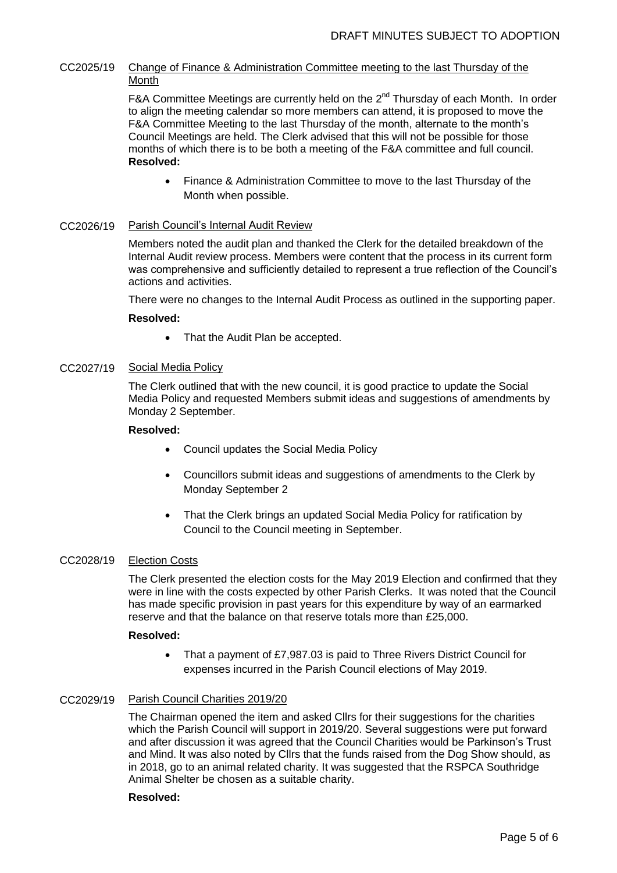# CC2025/19 Change of Finance & Administration Committee meeting to the last Thursday of the Month

F&A Committee Meetings are currently held on the  $2^{nd}$  Thursday of each Month. In order to align the meeting calendar so more members can attend, it is proposed to move the F&A Committee Meeting to the last Thursday of the month, alternate to the month's Council Meetings are held. The Clerk advised that this will not be possible for those months of which there is to be both a meeting of the F&A committee and full council. **Resolved:**

 Finance & Administration Committee to move to the last Thursday of the Month when possible.

### CC2026/19 Parish Council's Internal Audit Review

Members noted the audit plan and thanked the Clerk for the detailed breakdown of the Internal Audit review process. Members were content that the process in its current form was comprehensive and sufficiently detailed to represent a true reflection of the Council's actions and activities.

There were no changes to the Internal Audit Process as outlined in the supporting paper.

# **Resolved:**

• That the Audit Plan be accepted.

# CC2027/19 Social Media Policy

The Clerk outlined that with the new council, it is good practice to update the Social Media Policy and requested Members submit ideas and suggestions of amendments by Monday 2 September.

# **Resolved:**

- Council updates the Social Media Policy
- Councillors submit ideas and suggestions of amendments to the Clerk by Monday September 2
- That the Clerk brings an updated Social Media Policy for ratification by Council to the Council meeting in September.

# CC2028/19 Election Costs

The Clerk presented the election costs for the May 2019 Election and confirmed that they were in line with the costs expected by other Parish Clerks. It was noted that the Council has made specific provision in past years for this expenditure by way of an earmarked reserve and that the balance on that reserve totals more than £25,000.

# **Resolved:**

 That a payment of £7,987.03 is paid to Three Rivers District Council for expenses incurred in the Parish Council elections of May 2019.

# CC2029/19 Parish Council Charities 2019/20

The Chairman opened the item and asked Cllrs for their suggestions for the charities which the Parish Council will support in 2019/20. Several suggestions were put forward and after discussion it was agreed that the Council Charities would be Parkinson's Trust and Mind. It was also noted by Cllrs that the funds raised from the Dog Show should, as in 2018, go to an animal related charity. It was suggested that the RSPCA Southridge Animal Shelter be chosen as a suitable charity.

### **Resolved:**